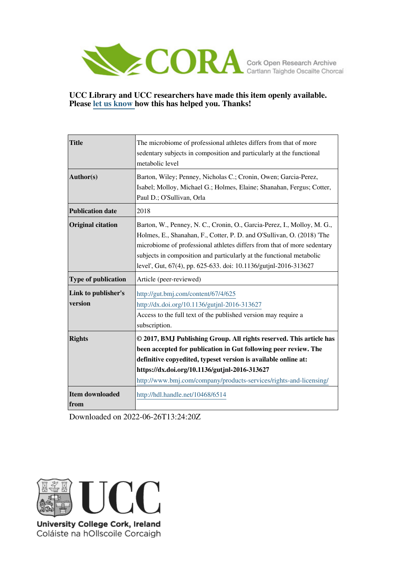

## **UCC Library and UCC researchers have made this item openly available. Please [let us know h](https://libguides.ucc.ie/openaccess/impact?suffix=6514&title=The microbiome of professional athletes differs from that of more sedentary subjects in composition and particularly at the functional metabolic level)ow this has helped you. Thanks!**

| <b>Title</b>                   | The microbiome of professional athletes differs from that of more<br>sedentary subjects in composition and particularly at the functional<br>metabolic level                                                                                                                                                                                                             |
|--------------------------------|--------------------------------------------------------------------------------------------------------------------------------------------------------------------------------------------------------------------------------------------------------------------------------------------------------------------------------------------------------------------------|
| Author(s)                      | Barton, Wiley; Penney, Nicholas C.; Cronin, Owen; Garcia-Perez,<br>Isabel; Molloy, Michael G.; Holmes, Elaine; Shanahan, Fergus; Cotter,<br>Paul D.; O'Sullivan, Orla                                                                                                                                                                                                    |
| <b>Publication date</b>        | 2018                                                                                                                                                                                                                                                                                                                                                                     |
| <b>Original citation</b>       | Barton, W., Penney, N. C., Cronin, O., Garcia-Perez, I., Molloy, M. G.,<br>Holmes, E., Shanahan, F., Cotter, P. D. and O'Sullivan, O. (2018) 'The<br>microbiome of professional athletes differs from that of more sedentary<br>subjects in composition and particularly at the functional metabolic<br>level', Gut, 67(4), pp. 625-633. doi: 10.1136/gutjnl-2016-313627 |
| Type of publication            | Article (peer-reviewed)                                                                                                                                                                                                                                                                                                                                                  |
| Link to publisher's<br>version | http://gut.bmj.com/content/67/4/625<br>http://dx.doi.org/10.1136/gutjnl-2016-313627<br>Access to the full text of the published version may require a<br>subscription.                                                                                                                                                                                                   |
| <b>Rights</b>                  | © 2017, BMJ Publishing Group. All rights reserved. This article has<br>been accepted for publication in Gut following peer review. The<br>definitive copyedited, typeset version is available online at:<br>https://dx.doi.org/10.1136/gutjnl-2016-313627<br>http://www.bmj.com/company/products-services/rights-and-licensing/                                          |
| <b>Item downloaded</b><br>from | http://hdl.handle.net/10468/6514                                                                                                                                                                                                                                                                                                                                         |

Downloaded on 2022-06-26T13:24:20Z



University College Cork, Ireland Coláiste na hOllscoile Corcaigh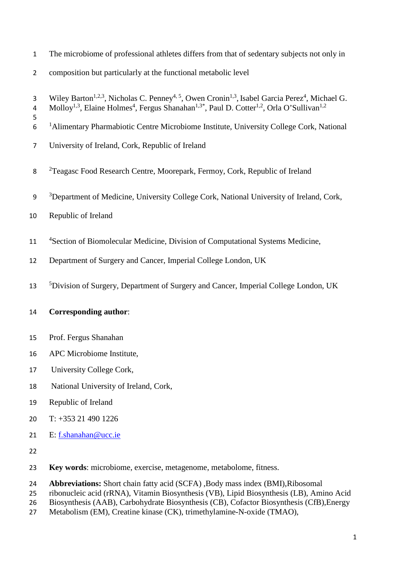- The microbiome of professional athletes differs from that of sedentary subjects not only in
- composition but particularly at the functional metabolic level
- 3 Wiley Barton<sup>1,2,3</sup>, Nicholas C. Penney<sup>4, 5</sup>, Owen Cronin<sup>1,3</sup>, Isabel Garcia Perez<sup>4</sup>, Michael G.
- 4 Molloy<sup>1,3</sup>, Elaine Holmes<sup>4</sup>, Fergus Shanahan<sup>1,3\*</sup>, Paul D. Cotter<sup>1,2</sup>, Orla O'Sullivan<sup>1,2</sup>
- <sup>1</sup> Alimentary Pharmabiotic Centre Microbiome Institute, University College Cork, National
- University of Ireland, Cork, Republic of Ireland
- 8 <sup>2</sup> Teagasc Food Research Centre, Moorepark, Fermoy, Cork, Republic of Ireland
- <sup>3</sup> Department of Medicine, University College Cork, National University of Ireland, Cork,
- Republic of Ireland

- 11 <sup>4</sup> Section of Biomolecular Medicine, Division of Computational Systems Medicine,
- Department of Surgery and Cancer, Imperial College London, UK
- <sup>5</sup> 5 Division of Surgery, Department of Surgery and Cancer, Imperial College London, UK

## **Corresponding author**:

- Prof. Fergus Shanahan
- APC Microbiome Institute,
- University College Cork,
- National University of Ireland, Cork,
- Republic of Ireland
- T: +353 21 490 1226
- 21 E: [f.shanahan@ucc.ie](mailto:f.shanahan@ucc.ie)
- 
- **Key words**: microbiome, exercise, metagenome, metabolome, fitness.
- **Abbreviations:** Short chain fatty acid (SCFA) ,Body mass index (BMI),Ribosomal
- ribonucleic acid (rRNA), Vitamin Biosynthesis (VB), Lipid Biosynthesis (LB), Amino Acid
- Biosynthesis (AAB), Carbohydrate Biosynthesis (CB), Cofactor Biosynthesis (CfB),Energy
- Metabolism (EM), Creatine kinase (CK), trimethylamine-N-oxide (TMAO),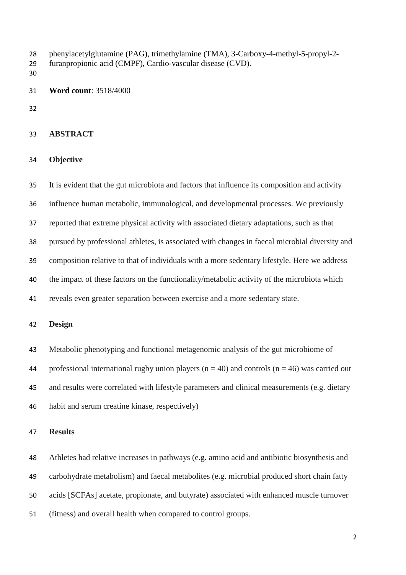phenylacetylglutamine (PAG), trimethylamine (TMA), 3-Carboxy-4-methyl-5-propyl-2-

- furanpropionic acid (CMPF), Cardio-vascular disease (CVD).
- 

**Word count**: 3518/4000

## **ABSTRACT**

#### **Objective**

 It is evident that the gut microbiota and factors that influence its composition and activity influence human metabolic, immunological, and developmental processes. We previously reported that extreme physical activity with associated dietary adaptations, such as that pursued by professional athletes, is associated with changes in faecal microbial diversity and composition relative to that of individuals with a more sedentary lifestyle. Here we address the impact of these factors on the functionality/metabolic activity of the microbiota which reveals even greater separation between exercise and a more sedentary state.

## **Design**

Metabolic phenotyping and functional metagenomic analysis of the gut microbiome of

44 professional international rugby union players ( $n = 40$ ) and controls ( $n = 46$ ) was carried out

and results were correlated with lifestyle parameters and clinical measurements (e.g. dietary

habit and serum creatine kinase, respectively)

## **Results**

 Athletes had relative increases in pathways (e.g. amino acid and antibiotic biosynthesis and carbohydrate metabolism) and faecal metabolites (e.g. microbial produced short chain fatty acids [SCFAs] acetate, propionate, and butyrate) associated with enhanced muscle turnover (fitness) and overall health when compared to control groups.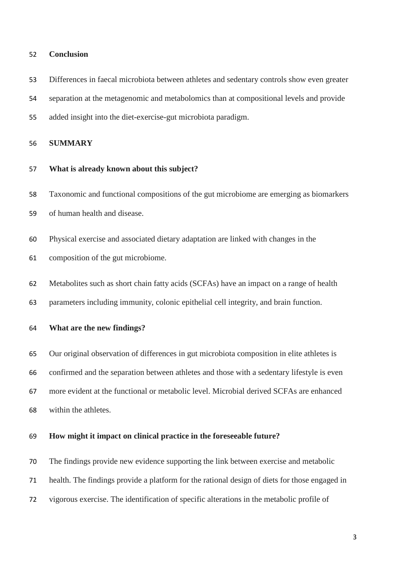#### **Conclusion**

Differences in faecal microbiota between athletes and sedentary controls show even greater

separation at the metagenomic and metabolomics than at compositional levels and provide

added insight into the diet-exercise-gut microbiota paradigm.

**SUMMARY**

**What is already known about this subject?**

Taxonomic and functional compositions of the gut microbiome are emerging as biomarkers

- of human health and disease.
- Physical exercise and associated dietary adaptation are linked with changes in the

composition of the gut microbiome.

Metabolites such as short chain fatty acids (SCFAs) have an impact on a range of health

parameters including immunity, colonic epithelial cell integrity, and brain function.

## **What are the new findings?**

 Our original observation of differences in gut microbiota composition in elite athletes is confirmed and the separation between athletes and those with a sedentary lifestyle is even more evident at the functional or metabolic level. Microbial derived SCFAs are enhanced within the athletes.

#### **How might it impact on clinical practice in the foreseeable future?**

 The findings provide new evidence supporting the link between exercise and metabolic health. The findings provide a platform for the rational design of diets for those engaged in vigorous exercise. The identification of specific alterations in the metabolic profile of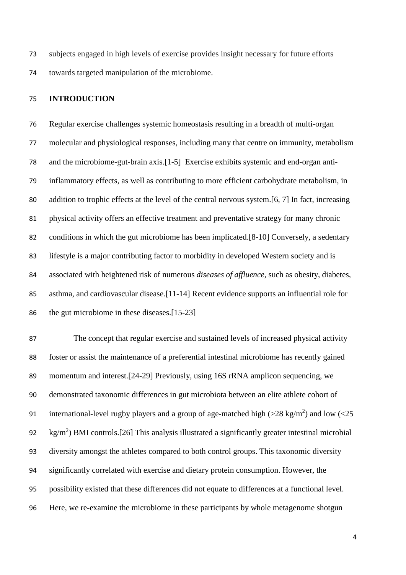subjects engaged in high levels of exercise provides insight necessary for future efforts towards targeted manipulation of the microbiome.

## **INTRODUCTION**

 Regular exercise challenges systemic homeostasis resulting in a breadth of multi-organ molecular and physiological responses, including many that centre on immunity, metabolism and the microbiome-gut-brain axis.[\[1-5\]](#page-18-0) Exercise exhibits systemic and end-organ anti- inflammatory effects, as well as contributing to more efficient carbohydrate metabolism, in addition to trophic effects at the level of the central nervous system.[\[6,](#page-18-1) [7\]](#page-19-0) In fact, increasing physical activity offers an effective treatment and preventative strategy for many chronic conditions in which the gut microbiome has been implicated.[\[8-10\]](#page-19-1) Conversely, a sedentary lifestyle is a major contributing factor to morbidity in developed Western society and is associated with heightened risk of numerous *diseases of affluence*, such as obesity, diabetes, asthma, and cardiovascular disease.[\[11-14\]](#page-19-2) Recent evidence supports an influential role for the gut microbiome in these diseases.[\[15-23\]](#page-19-3)

 The concept that regular exercise and sustained levels of increased physical activity foster or assist the maintenance of a preferential intestinal microbiome has recently gained momentum and interest.[\[24-29\]](#page-20-0) Previously, using 16S rRNA amplicon sequencing, we demonstrated taxonomic differences in gut microbiota between an elite athlete cohort of 91 international-level rugby players and a group of age-matched high ( $>$ 28 kg/m<sup>2</sup>) and low ( $<$ 25  $\text{kg/m}^2$ ) BMI controls.[\[26\]](#page-20-1) This analysis illustrated a significantly greater intestinal microbial diversity amongst the athletes compared to both control groups. This taxonomic diversity significantly correlated with exercise and dietary protein consumption. However, the possibility existed that these differences did not equate to differences at a functional level. Here, we re-examine the microbiome in these participants by whole metagenome shotgun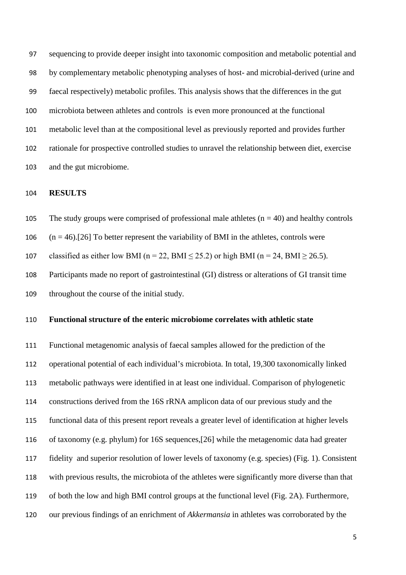sequencing to provide deeper insight into taxonomic composition and metabolic potential and by complementary metabolic phenotyping analyses of host- and microbial-derived (urine and faecal respectively) metabolic profiles. This analysis shows that the differences in the gut microbiota between athletes and controls is even more pronounced at the functional metabolic level than at the compositional level as previously reported and provides further rationale for prospective controlled studies to unravel the relationship between diet, exercise and the gut microbiome.

## **RESULTS**

105 The study groups were comprised of professional male athletes  $(n = 40)$  and healthy controls

106  $(n = 46)$ .[\[26\]](#page-20-1) To better represent the variability of BMI in the athletes, controls were

107 classified as either low BMI (n = 22, BMI  $\leq$  25.2) or high BMI (n = 24, BMI  $\geq$  26.5).

 Participants made no report of gastrointestinal (GI) distress or alterations of GI transit time throughout the course of the initial study.

## **Functional structure of the enteric microbiome correlates with athletic state**

 Functional metagenomic analysis of faecal samples allowed for the prediction of the operational potential of each individual's microbiota. In total, 19,300 taxonomically linked metabolic pathways were identified in at least one individual. Comparison of phylogenetic constructions derived from the 16S rRNA amplicon data of our previous study and the functional data of this present report reveals a greater level of identification at higher levels of taxonomy (e.g. phylum) for 16S sequences,[\[26\]](#page-20-1) while the metagenomic data had greater fidelity and superior resolution of lower levels of taxonomy (e.g. species) (Fig. 1). Consistent with previous results, the microbiota of the athletes were significantly more diverse than that of both the low and high BMI control groups at the functional level (Fig. 2A). Furthermore, our previous findings of an enrichment of *Akkermansia* in athletes was corroborated by the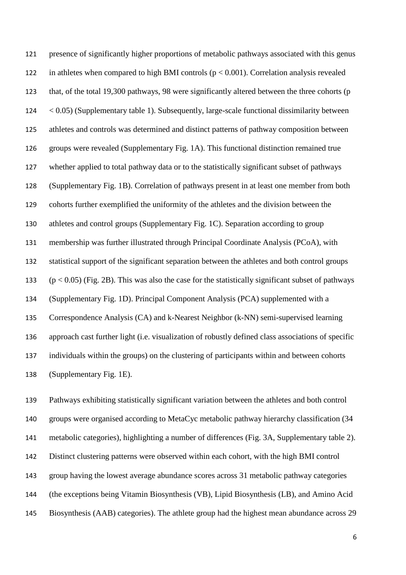presence of significantly higher proportions of metabolic pathways associated with this genus 122 in athletes when compared to high BMI controls ( $p < 0.001$ ). Correlation analysis revealed that, of the total 19,300 pathways, 98 were significantly altered between the three cohorts (p  $124 \leq 0.05$  (Supplementary table 1). Subsequently, large-scale functional dissimilarity between athletes and controls was determined and distinct patterns of pathway composition between groups were revealed (Supplementary Fig. 1A). This functional distinction remained true whether applied to total pathway data or to the statistically significant subset of pathways (Supplementary Fig. 1B). Correlation of pathways present in at least one member from both cohorts further exemplified the uniformity of the athletes and the division between the athletes and control groups (Supplementary Fig. 1C). Separation according to group membership was further illustrated through Principal Coordinate Analysis (PCoA), with statistical support of the significant separation between the athletes and both control groups  $(p < 0.05)$  (Fig. 2B). This was also the case for the statistically significant subset of pathways (Supplementary Fig. 1D). Principal Component Analysis (PCA) supplemented with a Correspondence Analysis (CA) and k-Nearest Neighbor (k-NN) semi-supervised learning approach cast further light (i.e. visualization of robustly defined class associations of specific individuals within the groups) on the clustering of participants within and between cohorts (Supplementary Fig. 1E).

 Pathways exhibiting statistically significant variation between the athletes and both control groups were organised according to MetaCyc metabolic pathway hierarchy classification (34 metabolic categories), highlighting a number of differences (Fig. 3A, Supplementary table 2). Distinct clustering patterns were observed within each cohort, with the high BMI control group having the lowest average abundance scores across 31 metabolic pathway categories (the exceptions being Vitamin Biosynthesis (VB), Lipid Biosynthesis (LB), and Amino Acid Biosynthesis (AAB) categories). The athlete group had the highest mean abundance across 29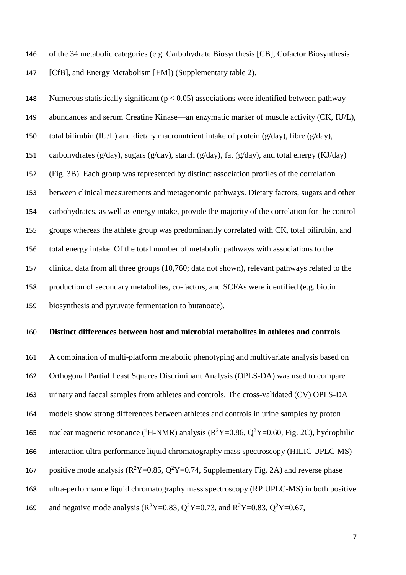of the 34 metabolic categories (e.g. Carbohydrate Biosynthesis [CB], Cofactor Biosynthesis 147 [CfB], and Energy Metabolism [EM]) (Supplementary table 2).

148 Numerous statistically significant  $(p < 0.05)$  associations were identified between pathway abundances and serum Creatine Kinase—an enzymatic marker of muscle activity (CK, IU/L), 150 total bilirubin (IU/L) and dietary macronutrient intake of protein ( $g/day$ ), fibre ( $g/day$ ), carbohydrates (g/day), sugars (g/day), starch (g/day), fat (g/day), and total energy (KJ/day) (Fig. 3B). Each group was represented by distinct association profiles of the correlation between clinical measurements and metagenomic pathways. Dietary factors, sugars and other carbohydrates, as well as energy intake, provide the majority of the correlation for the control groups whereas the athlete group was predominantly correlated with CK, total bilirubin, and total energy intake. Of the total number of metabolic pathways with associations to the clinical data from all three groups (10,760; data not shown), relevant pathways related to the production of secondary metabolites, co-factors, and SCFAs were identified (e.g. biotin biosynthesis and pyruvate fermentation to butanoate).

#### **Distinct differences between host and microbial metabolites in athletes and controls**

 A combination of multi-platform metabolic phenotyping and multivariate analysis based on Orthogonal Partial Least Squares Discriminant Analysis (OPLS-DA) was used to compare urinary and faecal samples from athletes and controls. The cross-validated (CV) OPLS-DA models show strong differences between athletes and controls in urine samples by proton 165 nuclear magnetic resonance (<sup>1</sup>H-NMR) analysis ( $R^2Y=0.86$ ,  $Q^2Y=0.60$ , Fig. 2C), hydrophilic interaction ultra-performance liquid chromatography mass spectroscopy (HILIC UPLC-MS) 167 positive mode analysis ( $R^2Y=0.85$ ,  $Q^2Y=0.74$ , Supplementary Fig. 2A) and reverse phase ultra-performance liquid chromatography mass spectroscopy (RP UPLC-MS) in both positive 169 and negative mode analysis ( $R^2Y=0.83$ ,  $Q^2Y=0.73$ , and  $R^2Y=0.83$ ,  $Q^2Y=0.67$ ,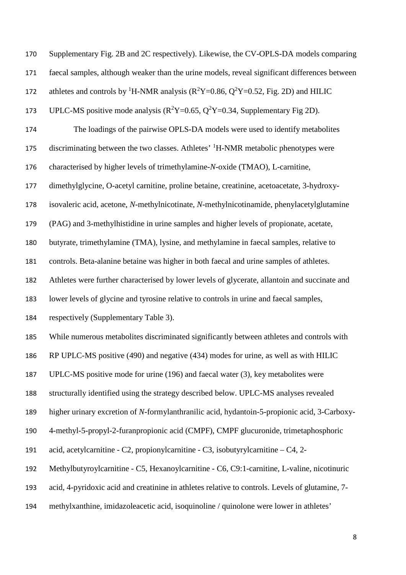| 170 | Supplementary Fig. 2B and 2C respectively). Likewise, the CV-OPLS-DA models comparing                 |
|-----|-------------------------------------------------------------------------------------------------------|
| 171 | faecal samples, although weaker than the urine models, reveal significant differences between         |
| 172 | athletes and controls by <sup>1</sup> H-NMR analysis ( $R^2Y=0.86$ , $Q^2Y=0.52$ , Fig. 2D) and HILIC |
| 173 | UPLC-MS positive mode analysis ( $R^2Y=0.65$ , $Q^2Y=0.34$ , Supplementary Fig 2D).                   |
| 174 | The loadings of the pairwise OPLS-DA models were used to identify metabolites                         |
| 175 | discriminating between the two classes. Athletes' <sup>1</sup> H-NMR metabolic phenotypes were        |
| 176 | characterised by higher levels of trimethylamine-N-oxide (TMAO), L-carnitine,                         |
| 177 | dimethylglycine, O-acetyl carnitine, proline betaine, creatinine, acetoacetate, 3-hydroxy-            |
| 178 | isovaleric acid, acetone, N-methylnicotinate, N-methylnicotinamide, phenylacetylglutamine             |
| 179 | (PAG) and 3-methylhistidine in urine samples and higher levels of propionate, acetate,                |
| 180 | butyrate, trimethylamine (TMA), lysine, and methylamine in faecal samples, relative to                |
| 181 | controls. Beta-alanine betaine was higher in both faecal and urine samples of athletes.               |
| 182 | Athletes were further characterised by lower levels of glycerate, allantoin and succinate and         |
| 183 | lower levels of glycine and tyrosine relative to controls in urine and faecal samples,                |
| 184 | respectively (Supplementary Table 3).                                                                 |
| 185 | While numerous metabolites discriminated significantly between athletes and controls with             |
| 186 | RP UPLC-MS positive (490) and negative (434) modes for urine, as well as with HILIC                   |
| 187 | UPLC-MS positive mode for urine (196) and faecal water (3), key metabolites were                      |
| 188 | structurally identified using the strategy described below. UPLC-MS analyses revealed                 |
| 189 | higher urinary excretion of N-formylanthranilic acid, hydantoin-5-propionic acid, 3-Carboxy-          |
| 190 | 4-methyl-5-propyl-2-furanpropionic acid (CMPF), CMPF glucuronide, trimetaphosphoric                   |
| 191 | acid, acetylcarnitine - C2, propionylcarnitine - C3, isobutyrylcarnitine $-$ C4, 2-                   |
| 192 | Methylbutyroylcarnitine - C5, Hexanoylcarnitine - C6, C9:1-carnitine, L-valine, nicotinuric           |
| 193 | acid, 4-pyridoxic acid and creatinine in athletes relative to controls. Levels of glutamine, 7-       |
| 194 | methylxanthine, imidazoleacetic acid, isoquinoline / quinolone were lower in athletes'                |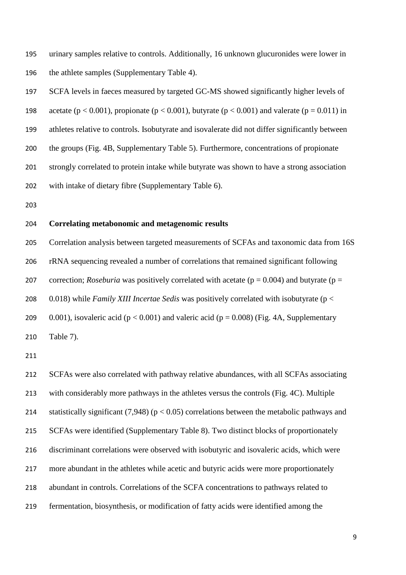urinary samples relative to controls. Additionally, 16 unknown glucuronides were lower in the athlete samples (Supplementary Table 4).

 SCFA levels in faeces measured by targeted GC-MS showed significantly higher levels of 198 acetate ( $p < 0.001$ ), propionate ( $p < 0.001$ ), butyrate ( $p < 0.001$ ) and valerate ( $p = 0.011$ ) in athletes relative to controls. Isobutyrate and isovalerate did not differ significantly between the groups (Fig. 4B, Supplementary Table 5). Furthermore, concentrations of propionate strongly correlated to protein intake while butyrate was shown to have a strong association with intake of dietary fibre (Supplementary Table 6).

## **Correlating metabonomic and metagenomic results**

 Correlation analysis between targeted measurements of SCFAs and taxonomic data from 16S rRNA sequencing revealed a number of correlations that remained significant following 207 correction; *Roseburia* was positively correlated with acetate ( $p = 0.004$ ) and butyrate ( $p = 207$  0.018) while *Family XIII Incertae Sedis* was positively correlated with isobutyrate (p < 209 0.001), isovaleric acid ( $p < 0.001$ ) and valeric acid ( $p = 0.008$ ) (Fig. 4A, Supplementary Table 7).

 SCFAs were also correlated with pathway relative abundances, with all SCFAs associating with considerably more pathways in the athletes versus the controls (Fig. 4C). Multiple 214 statistically significant  $(7.948)$  (p  $< 0.05$ ) correlations between the metabolic pathways and SCFAs were identified (Supplementary Table 8). Two distinct blocks of proportionately discriminant correlations were observed with isobutyric and isovaleric acids, which were more abundant in the athletes while acetic and butyric acids were more proportionately abundant in controls. Correlations of the SCFA concentrations to pathways related to fermentation, biosynthesis, or modification of fatty acids were identified among the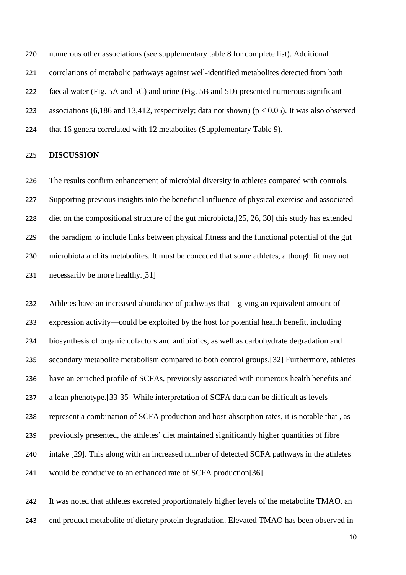numerous other associations (see supplementary table 8 for complete list). Additional

correlations of metabolic pathways against well-identified metabolites detected from both

faecal water (Fig. 5A and 5C) and urine (Fig. 5B and 5D) presented numerous significant

223 associations (6,186 and 13,412, respectively; data not shown) ( $p < 0.05$ ). It was also observed

224 that 16 genera correlated with 12 metabolites (Supplementary Table 9).

## **DISCUSSION**

 The results confirm enhancement of microbial diversity in athletes compared with controls. Supporting previous insights into the beneficial influence of physical exercise and associated diet on the compositional structure of the gut microbiota,[\[25,](#page-20-2) [26,](#page-20-1) [30\]](#page-20-3) this study has extended the paradigm to include links between physical fitness and the functional potential of the gut microbiota and its metabolites. It must be conceded that some athletes, although fit may not necessarily be more healthy.[\[31\]](#page-20-4)

 Athletes have an increased abundance of pathways that—giving an equivalent amount of expression activity—could be exploited by the host for potential health benefit, including biosynthesis of organic cofactors and antibiotics, as well as carbohydrate degradation and secondary metabolite metabolism compared to both control groups.[\[32\]](#page-20-5) Furthermore, athletes have an enriched profile of SCFAs, previously associated with numerous health benefits and a lean phenotype.[\[33-35\]](#page-20-6) While interpretation of SCFA data can be difficult as levels represent a combination of SCFA production and host-absorption rates, it is notable that , as previously presented, the athletes' diet maintained significantly higher quantities of fibre intake [\[29\]](#page-20-7). This along with an increased number of detected SCFA pathways in the athletes would be conducive to an enhanced rate of SCFA production[\[36\]](#page-20-8)

 It was noted that athletes excreted proportionately higher levels of the metabolite TMAO, an end product metabolite of dietary protein degradation. Elevated TMAO has been observed in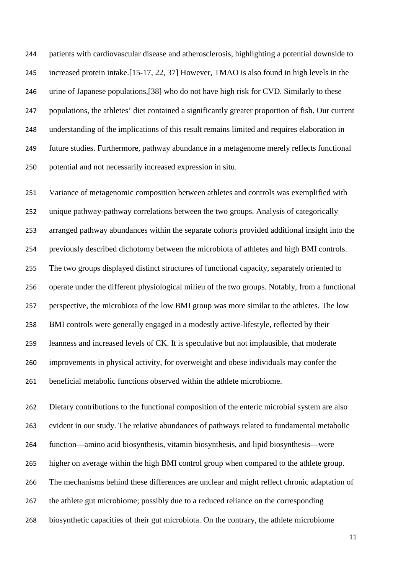patients with cardiovascular disease and atherosclerosis, highlighting a potential downside to increased protein intake.[\[15-17,](#page-19-3) [22,](#page-19-4) [37\]](#page-20-9) However, TMAO is also found in high levels in the urine of Japanese populations,[\[38\]](#page-20-10) who do not have high risk for CVD. Similarly to these populations, the athletes' diet contained a significantly greater proportion of fish. Our current understanding of the implications of this result remains limited and requires elaboration in future studies. Furthermore, pathway abundance in a metagenome merely reflects functional potential and not necessarily increased expression in situ.

 Variance of metagenomic composition between athletes and controls was exemplified with unique pathway-pathway correlations between the two groups. Analysis of categorically arranged pathway abundances within the separate cohorts provided additional insight into the previously described dichotomy between the microbiota of athletes and high BMI controls. The two groups displayed distinct structures of functional capacity, separately oriented to operate under the different physiological milieu of the two groups. Notably, from a functional perspective, the microbiota of the low BMI group was more similar to the athletes. The low BMI controls were generally engaged in a modestly active-lifestyle, reflected by their leanness and increased levels of CK. It is speculative but not implausible, that moderate improvements in physical activity, for overweight and obese individuals may confer the beneficial metabolic functions observed within the athlete microbiome.

 Dietary contributions to the functional composition of the enteric microbial system are also evident in our study. The relative abundances of pathways related to fundamental metabolic function—amino acid biosynthesis, vitamin biosynthesis, and lipid biosynthesis—were higher on average within the high BMI control group when compared to the athlete group. The mechanisms behind these differences are unclear and might reflect chronic adaptation of 267 the athlete gut microbiome; possibly due to a reduced reliance on the corresponding biosynthetic capacities of their gut microbiota. On the contrary, the athlete microbiome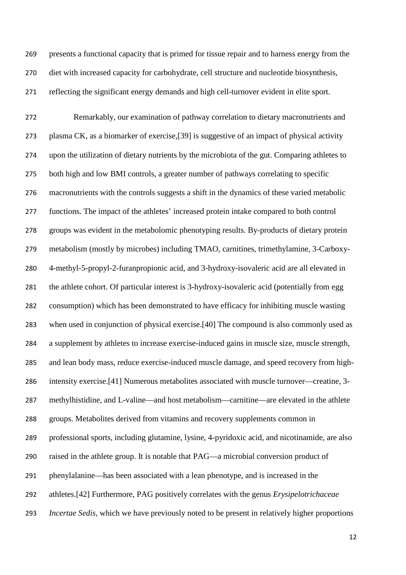presents a functional capacity that is primed for tissue repair and to harness energy from the diet with increased capacity for carbohydrate, cell structure and nucleotide biosynthesis, reflecting the significant energy demands and high cell-turnover evident in elite sport.

 Remarkably, our examination of pathway correlation to dietary macronutrients and plasma CK, as a biomarker of exercise,[\[39\]](#page-20-11) is suggestive of an impact of physical activity upon the utilization of dietary nutrients by the microbiota of the gut. Comparing athletes to both high and low BMI controls, a greater number of pathways correlating to specific macronutrients with the controls suggests a shift in the dynamics of these varied metabolic functions. The impact of the athletes' increased protein intake compared to both control groups was evident in the metabolomic phenotyping results. By-products of dietary protein metabolism (mostly by microbes) including TMAO, carnitines, trimethylamine, 3-Carboxy- 4-methyl-5-propyl-2-furanpropionic acid, and 3-hydroxy-isovaleric acid are all elevated in the athlete cohort. Of particular interest is 3-hydroxy-isovaleric acid (potentially from egg consumption) which has been demonstrated to have efficacy for inhibiting muscle wasting when used in conjunction of physical exercise.[\[40\]](#page-20-12) The compound is also commonly used as a supplement by athletes to increase exercise-induced gains in muscle size, muscle strength, and lean body mass, reduce exercise-induced muscle damage, and speed recovery from high- intensity exercise.[\[41\]](#page-20-13) Numerous metabolites associated with muscle turnover—creatine, 3- methylhistidine, and L-valine—and host metabolism—carnitine—are elevated in the athlete groups. Metabolites derived from vitamins and recovery supplements common in professional sports, including glutamine, lysine, 4-pyridoxic acid, and nicotinamide, are also raised in the athlete group. It is notable that PAG—a microbial conversion product of phenylalanine—has been associated with a lean phenotype, and is increased in the athletes.[\[42\]](#page-20-14) Furthermore, PAG positively correlates with the genus *Erysipelotrichaceae Incertae Sedis*, which we have previously noted to be present in relatively higher proportions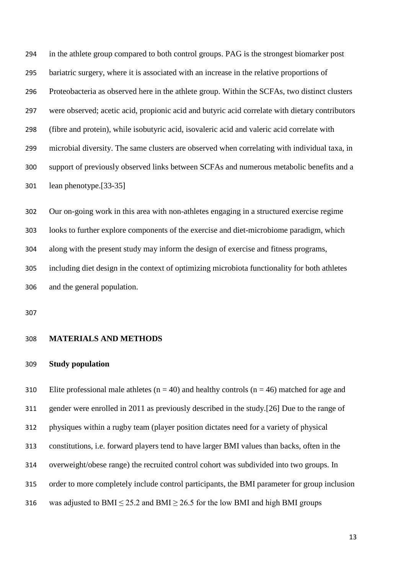in the athlete group compared to both control groups. PAG is the strongest biomarker post bariatric surgery, where it is associated with an increase in the relative proportions of Proteobacteria as observed here in the athlete group. Within the SCFAs, two distinct clusters were observed; acetic acid, propionic acid and butyric acid correlate with dietary contributors (fibre and protein), while isobutyric acid, isovaleric acid and valeric acid correlate with microbial diversity. The same clusters are observed when correlating with individual taxa, in support of previously observed links between SCFAs and numerous metabolic benefits and a lean phenotype.[\[33-35\]](#page-20-6)

 Our on-going work in this area with non-athletes engaging in a structured exercise regime looks to further explore components of the exercise and diet-microbiome paradigm, which along with the present study may inform the design of exercise and fitness programs, including diet design in the context of optimizing microbiota functionality for both athletes and the general population.

#### **MATERIALS AND METHODS**

## **Study population**

310 Elite professional male athletes ( $n = 40$ ) and healthy controls ( $n = 46$ ) matched for age and gender were enrolled in 2011 as previously described in the study.[\[26\]](#page-20-1) Due to the range of physiques within a rugby team (player position dictates need for a variety of physical constitutions, i.e. forward players tend to have larger BMI values than backs, often in the overweight/obese range) the recruited control cohort was subdivided into two groups. In order to more completely include control participants, the BMI parameter for group inclusion 316 was adjusted to BMI  $\leq$  25.2 and BMI  $\geq$  26.5 for the low BMI and high BMI groups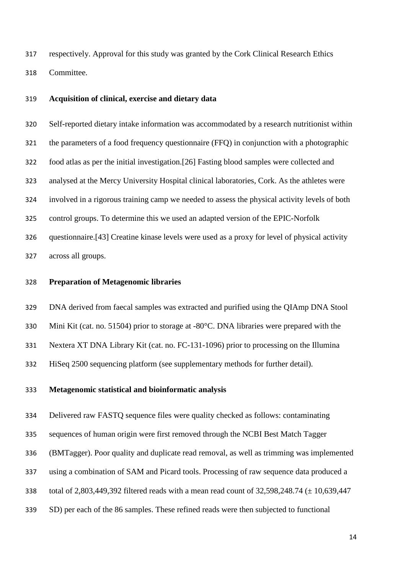respectively. Approval for this study was granted by the Cork Clinical Research Ethics Committee.

## **Acquisition of clinical, exercise and dietary data**

 Self-reported dietary intake information was accommodated by a research nutritionist within the parameters of a food frequency questionnaire (FFQ) in conjunction with a photographic food atlas as per the initial investigation.[\[26\]](#page-20-1) Fasting blood samples were collected and analysed at the Mercy University Hospital clinical laboratories, Cork. As the athletes were involved in a rigorous training camp we needed to assess the physical activity levels of both control groups. To determine this we used an adapted version of the EPIC-Norfolk questionnaire.[\[43\]](#page-21-0) Creatine kinase levels were used as a proxy for level of physical activity across all groups.

## **Preparation of Metagenomic libraries**

DNA derived from faecal samples was extracted and purified using the QIAmp DNA Stool

Mini Kit (cat. no. 51504) prior to storage at -80°C. DNA libraries were prepared with the

Nextera XT DNA Library Kit (cat. no. FC-131-1096) prior to processing on the Illumina

HiSeq 2500 sequencing platform (see supplementary methods for further detail).

## **Metagenomic statistical and bioinformatic analysis**

Delivered raw FASTQ sequence files were quality checked as follows: contaminating

sequences of human origin were first removed through the NCBI Best Match Tagger

(BMTagger). Poor quality and duplicate read removal, as well as trimming was implemented

- using a combination of SAM and Picard tools. Processing of raw sequence data produced a
- total of 2,803,449,392 filtered reads with a mean read count of 32,598,248.74 (± 10,639,447
- SD) per each of the 86 samples. These refined reads were then subjected to functional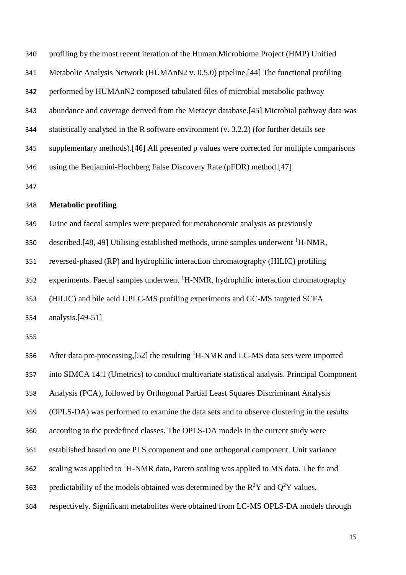| 340 | profiling by the most recent iteration of the Human Microbiome Project (HMP) Unified        |
|-----|---------------------------------------------------------------------------------------------|
| 341 | Metabolic Analysis Network (HUMAnN2 v. 0.5.0) pipeline. [44] The functional profiling       |
| 342 | performed by HUMAnN2 composed tabulated files of microbial metabolic pathway                |
| 343 | abundance and coverage derived from the Metacyc database. [45] Microbial pathway data was   |
| 344 | statistically analysed in the R software environment $(v. 3.2.2)$ (for further details see  |
| 345 | supplementary methods). [46] All presented p values were corrected for multiple comparisons |
| 346 | using the Benjamini-Hochberg False Discovery Rate (pFDR) method.[47]                        |
| 347 |                                                                                             |

## **Metabolic profiling**

Urine and faecal samples were prepared for metabonomic analysis as previously

described.[\[48,](#page-21-5) [49\]](#page-21-6) Utilising established methods, urine samples underwent  ${}^{1}H\text{-}NMR$ ,

reversed-phased (RP) and hydrophilic interaction chromatography (HILIC) profiling

experiments. Faecal samples underwent  ${}^{1}$ H-NMR, hydrophilic interaction chromatography

(HILIC) and bile acid UPLC-MS profiling experiments and GC-MS targeted SCFA

analysis.[\[49-51\]](#page-21-6)

356 After data pre-processing, [\[52\]](#page-21-7) the resulting  ${}^{1}$ H-NMR and LC-MS data sets were imported into SIMCA 14.1 (Umetrics) to conduct multivariate statistical analysis. Principal Component Analysis (PCA), followed by Orthogonal Partial Least Squares Discriminant Analysis (OPLS-DA) was performed to examine the data sets and to observe clustering in the results according to the predefined classes. The OPLS-DA models in the current study were established based on one PLS component and one orthogonal component. Unit variance scaling was applied to  ${}^{1}$ H-NMR data, Pareto scaling was applied to MS data. The fit and 363 predictability of the models obtained was determined by the  $R^2Y$  and  $Q^2Y$  values, respectively. Significant metabolites were obtained from LC-MS OPLS-DA models through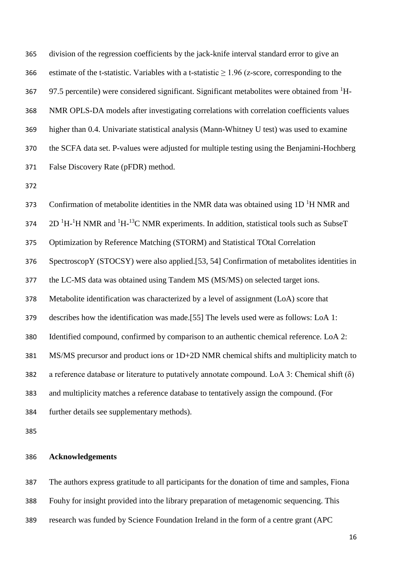division of the regression coefficients by the jack-knife interval standard error to give an 366 estimate of the t-statistic. Variables with a t-statistic  $\geq$  1.96 (z-score, corresponding to the  $97.5$  percentile) were considered significant. Significant metabolites were obtained from  ${}^{1}H$ - NMR OPLS-DA models after investigating correlations with correlation coefficients values higher than 0.4. Univariate statistical analysis (Mann-Whitney U test) was used to examine the SCFA data set. P-values were adjusted for multiple testing using the Benjamini-Hochberg False Discovery Rate (pFDR) method.

373 Confirmation of metabolite identities in the NMR data was obtained using  $1D<sup>1</sup>H NMR$  and  $2D<sup>1</sup>H<sup>-1</sup>H NMR$  and  $<sup>1</sup>H<sup>-13</sup>C NMR$  experiments. In addition, statistical tools such as SubseT</sup> Optimization by Reference Matching (STORM) and Statistical TOtal Correlation SpectroscopY (STOCSY) were also applied.[\[53,](#page-21-8) [54\]](#page-21-9) Confirmation of metabolites identities in the LC-MS data was obtained using Tandem MS (MS/MS) on selected target ions. Metabolite identification was characterized by a level of assignment (LoA) score that describes how the identification was made.[\[55\]](#page-21-10) The levels used were as follows: LoA 1: Identified compound, confirmed by comparison to an authentic chemical reference. LoA 2: MS/MS precursor and product ions or 1D+2D NMR chemical shifts and multiplicity match to a reference database or literature to putatively annotate compound. LoA 3: Chemical shift (δ) and multiplicity matches a reference database to tentatively assign the compound. (For

further details see supplementary methods).

## **Acknowledgements**

 The authors express gratitude to all participants for the donation of time and samples, Fiona Fouhy for insight provided into the library preparation of metagenomic sequencing. This research was funded by Science Foundation Ireland in the form of a centre grant (APC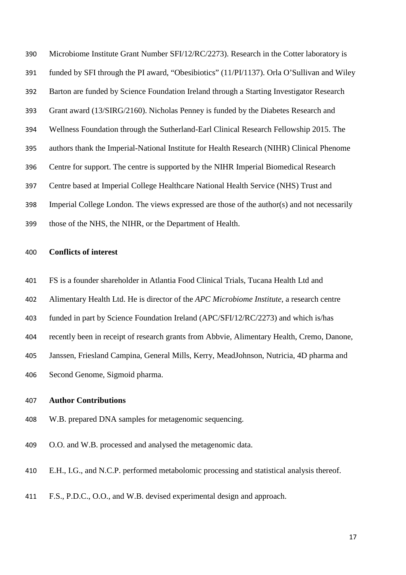Microbiome Institute Grant Number SFI/12/RC/2273). Research in the Cotter laboratory is funded by SFI through the PI award, "Obesibiotics" (11/PI/1137). Orla O'Sullivan and Wiley Barton are funded by Science Foundation Ireland through a Starting Investigator Research Grant award (13/SIRG/2160). Nicholas Penney is funded by the Diabetes Research and Wellness Foundation through the Sutherland-Earl Clinical Research Fellowship 2015. The authors thank the Imperial-National Institute for Health Research (NIHR) Clinical Phenome Centre for support. The centre is supported by the NIHR Imperial Biomedical Research Centre based at Imperial College Healthcare National Health Service (NHS) Trust and Imperial College London. The views expressed are those of the author(s) and not necessarily those of the NHS, the NIHR, or the Department of Health.

## **Conflicts of interest**

- FS is a founder shareholder in Atlantia Food Clinical Trials, Tucana Health Ltd and
- Alimentary Health Ltd. He is director of the *APC Microbiome Institute*, a research centre
- funded in part by Science Foundation Ireland (APC/SFI/12/RC/2273) and which is/has
- recently been in receipt of research grants from Abbvie, Alimentary Health, Cremo, Danone,
- Janssen, Friesland Campina, General Mills, Kerry, MeadJohnson, Nutricia, 4D pharma and
- Second Genome, Sigmoid pharma.

## **Author Contributions**

- W.B. prepared DNA samples for metagenomic sequencing.
- O.O. and W.B. processed and analysed the metagenomic data.
- E.H., I.G., and N.C.P. performed metabolomic processing and statistical analysis thereof.
- F.S., P.D.C., O.O., and W.B. devised experimental design and approach.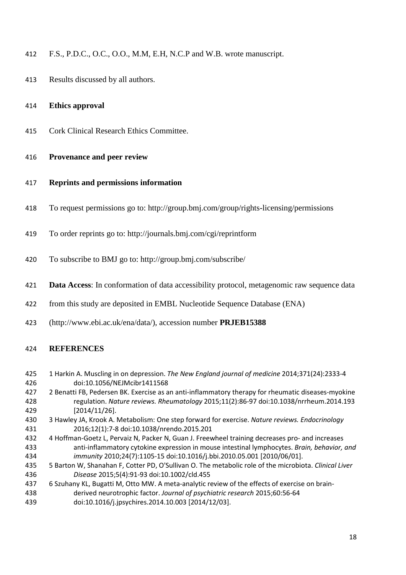- F.S., P.D.C., O.C., O.O., M.M, E.H, N.C.P and W.B. wrote manuscript.
- Results discussed by all authors.
- **Ethics approval**
- Cork Clinical Research Ethics Committee.

## **Provenance and peer review**

- **Reprints and permissions information**
- To request permissions go to: http://group.bmj.com/group/rights-licensing/permissions
- To order reprints go to: http://journals.bmj.com/cgi/reprintform
- To subscribe to BMJ go to: http://group.bmj.com/subscribe/
- **Data Access**: In conformation of data accessibility protocol, metagenomic raw sequence data
- from this study are deposited in EMBL Nucleotide Sequence Database (ENA)
- (http://www.ebi.ac.uk/ena/data/), accession number **PRJEB15388**

## **REFERENCES**

- <span id="page-18-0"></span> 1 Harkin A. Muscling in on depression. *The New England journal of medicine* 2014;371(24):2333-4 doi:10.1056/NEJMcibr1411568
- 2 Benatti FB, Pedersen BK. Exercise as an anti-inflammatory therapy for rheumatic diseases-myokine regulation. *Nature reviews. Rheumatology* 2015;11(2):86-97 doi:10.1038/nrrheum.2014.193 [2014/11/26].
- 3 Hawley JA, Krook A. Metabolism: One step forward for exercise. *Nature reviews. Endocrinology* 2016;12(1):7-8 doi:10.1038/nrendo.2015.201
- 4 Hoffman-Goetz L, Pervaiz N, Packer N, Guan J. Freewheel training decreases pro- and increases anti-inflammatory cytokine expression in mouse intestinal lymphocytes. *Brain, behavior, and immunity* 2010;24(7):1105-15 doi:10.1016/j.bbi.2010.05.001 [2010/06/01].
- 5 Barton W, Shanahan F, Cotter PD, O'Sullivan O. The metabolic role of the microbiota. *Clinical Liver Disease* 2015;5(4):91-93 doi:10.1002/cld.455
- <span id="page-18-1"></span> 6 Szuhany KL, Bugatti M, Otto MW. A meta-analytic review of the effects of exercise on brain- derived neurotrophic factor. *Journal of psychiatric research* 2015;60:56-64 doi:10.1016/j.jpsychires.2014.10.003 [2014/12/03].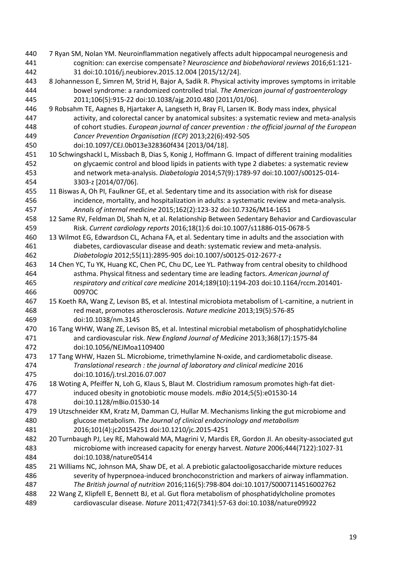- <span id="page-19-0"></span> 7 Ryan SM, Nolan YM. Neuroinflammation negatively affects adult hippocampal neurogenesis and cognition: can exercise compensate? *Neuroscience and biobehavioral reviews* 2016;61:121- 31 doi:10.1016/j.neubiorev.2015.12.004 [2015/12/24].
- <span id="page-19-1"></span> 8 Johannesson E, Simren M, Strid H, Bajor A, Sadik R. Physical activity improves symptoms in irritable bowel syndrome: a randomized controlled trial. *The American journal of gastroenterology* 2011;106(5):915-22 doi:10.1038/ajg.2010.480 [2011/01/06].
- 9 Robsahm TE, Aagnes B, Hjartaker A, Langseth H, Bray FI, Larsen IK. Body mass index, physical activity, and colorectal cancer by anatomical subsites: a systematic review and meta-analysis of cohort studies. *European journal of cancer prevention : the official journal of the European Cancer Prevention Organisation (ECP)* 2013;22(6):492-505
- doi:10.1097/CEJ.0b013e328360f434 [2013/04/18].
- 10 Schwingshackl L, Missbach B, Dias S, Konig J, Hoffmann G. Impact of different training modalities on glycaemic control and blood lipids in patients with type 2 diabetes: a systematic review and network meta-analysis. *Diabetologia* 2014;57(9):1789-97 doi:10.1007/s00125-014- 3303-z [2014/07/06].
- <span id="page-19-2"></span> 11 Biswas A, Oh PI, Faulkner GE, et al. Sedentary time and its association with risk for disease incidence, mortality, and hospitalization in adults: a systematic review and meta-analysis. *Annals of internal medicine* 2015;162(2):123-32 doi:10.7326/M14-1651
- 12 Same RV, Feldman DI, Shah N, et al. Relationship Between Sedentary Behavior and Cardiovascular Risk. *Current cardiology reports* 2016;18(1):6 doi:10.1007/s11886-015-0678-5
- 13 Wilmot EG, Edwardson CL, Achana FA, et al. Sedentary time in adults and the association with diabetes, cardiovascular disease and death: systematic review and meta-analysis. *Diabetologia* 2012;55(11):2895-905 doi:10.1007/s00125-012-2677-z
- 14 Chen YC, Tu YK, Huang KC, Chen PC, Chu DC, Lee YL. Pathway from central obesity to childhood asthma. Physical fitness and sedentary time are leading factors. *American journal of respiratory and critical care medicine* 2014;189(10):1194-203 doi:10.1164/rccm.201401- 0097OC
- <span id="page-19-3"></span> 15 Koeth RA, Wang Z, Levison BS, et al. Intestinal microbiota metabolism of L-carnitine, a nutrient in red meat, promotes atherosclerosis. *Nature medicine* 2013;19(5):576-85 doi:10.1038/nm.3145
- 16 Tang WHW, Wang ZE, Levison BS, et al. Intestinal microbial metabolism of phosphatidylcholine and cardiovascular risk. *New England Journal of Medicine* 2013;368(17):1575-84 doi:10.1056/NEJMoa1109400
- 17 Tang WHW, Hazen SL. Microbiome, trimethylamine N-oxide, and cardiometabolic disease. *Translational research : the journal of laboratory and clinical medicine* 2016 doi:10.1016/j.trsl.2016.07.007
- 18 Woting A, Pfeiffer N, Loh G, Klaus S, Blaut M. Clostridium ramosum promotes high-fat diet- induced obesity in gnotobiotic mouse models. *mBio* 2014;5(5):e01530-14 doi:10.1128/mBio.01530-14
- 479 19 Utzschneider KM, Kratz M, Damman CJ, Hullar M. Mechanisms linking the gut microbiome and glucose metabolism. *The Journal of clinical endocrinology and metabolism* 2016;101(4):jc20154251 doi:10.1210/jc.2015-4251
- 20 Turnbaugh PJ, Ley RE, Mahowald MA, Magrini V, Mardis ER, Gordon JI. An obesity-associated gut microbiome with increased capacity for energy harvest. *Nature* 2006;444(7122):1027-31 doi:10.1038/nature05414
- 21 Williams NC, Johnson MA, Shaw DE, et al. A prebiotic galactooligosaccharide mixture reduces severity of hyperpnoea-induced bronchoconstriction and markers of airway inflammation. *The British journal of nutrition* 2016;116(5):798-804 doi:10.1017/S0007114516002762
- <span id="page-19-4"></span> 22 Wang Z, Klipfell E, Bennett BJ, et al. Gut flora metabolism of phosphatidylcholine promotes cardiovascular disease. *Nature* 2011;472(7341):57-63 doi:10.1038/nature09922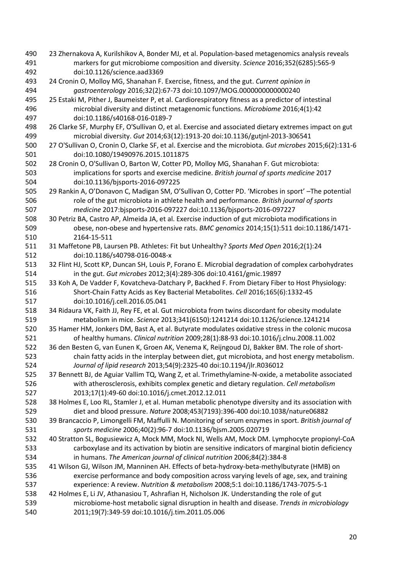<span id="page-20-14"></span><span id="page-20-13"></span><span id="page-20-12"></span><span id="page-20-11"></span><span id="page-20-10"></span><span id="page-20-9"></span><span id="page-20-8"></span><span id="page-20-7"></span><span id="page-20-6"></span><span id="page-20-5"></span><span id="page-20-4"></span><span id="page-20-3"></span><span id="page-20-2"></span><span id="page-20-1"></span><span id="page-20-0"></span> 23 Zhernakova A, Kurilshikov A, Bonder MJ, et al. Population-based metagenomics analysis reveals markers for gut microbiome composition and diversity. *Science* 2016;352(6285):565-9 doi:10.1126/science.aad3369 24 Cronin O, Molloy MG, Shanahan F. Exercise, fitness, and the gut. *Current opinion in gastroenterology* 2016;32(2):67-73 doi:10.1097/MOG.0000000000000240 25 Estaki M, Pither J, Baumeister P, et al. Cardiorespiratory fitness as a predictor of intestinal microbial diversity and distinct metagenomic functions. *Microbiome* 2016;4(1):42 doi:10.1186/s40168-016-0189-7 26 Clarke SF, Murphy EF, O'Sullivan O, et al. Exercise and associated dietary extremes impact on gut microbial diversity. *Gut* 2014;63(12):1913-20 doi:10.1136/gutjnl-2013-306541 27 O'Sullivan O, Cronin O, Clarke SF, et al. Exercise and the microbiota. *Gut microbes* 2015;6(2):131-6 doi:10.1080/19490976.2015.1011875 28 Cronin O, O'Sullivan O, Barton W, Cotter PD, Molloy MG, Shanahan F. Gut microbiota: implications for sports and exercise medicine. *British journal of sports medicine* 2017 doi:10.1136/bjsports-2016-097225 29 Rankin A, O'Donavon C, Madigan SM, O'Sullivan O, Cotter PD. 'Microbes in sport' –The potential role of the gut microbiota in athlete health and performance. *British journal of sports medicine* 2017:bjsports-2016-097227 doi:10.1136/bjsports-2016-097227 30 Petriz BA, Castro AP, Almeida JA, et al. Exercise induction of gut microbiota modifications in obese, non-obese and hypertensive rats. *BMC genomics* 2014;15(1):511 doi:10.1186/1471- 2164-15-511 31 Maffetone PB, Laursen PB. Athletes: Fit but Unhealthy? *Sports Med Open* 2016;2(1):24 doi:10.1186/s40798-016-0048-x 32 Flint HJ, Scott KP, Duncan SH, Louis P, Forano E. Microbial degradation of complex carbohydrates in the gut. *Gut microbes* 2012;3(4):289-306 doi:10.4161/gmic.19897 33 Koh A, De Vadder F, Kovatcheva-Datchary P, Backhed F. From Dietary Fiber to Host Physiology: Short-Chain Fatty Acids as Key Bacterial Metabolites. *Cell* 2016;165(6):1332-45 doi:10.1016/j.cell.2016.05.041 34 Ridaura VK, Faith JJ, Rey FE, et al. Gut microbiota from twins discordant for obesity modulate metabolism in mice. *Science* 2013;341(6150):1241214 doi:10.1126/science.1241214 35 Hamer HM, Jonkers DM, Bast A, et al. Butyrate modulates oxidative stress in the colonic mucosa of healthy humans. *Clinical nutrition* 2009;28(1):88-93 doi:10.1016/j.clnu.2008.11.002 36 den Besten G, van Eunen K, Groen AK, Venema K, Reijngoud DJ, Bakker BM. The role of short- chain fatty acids in the interplay between diet, gut microbiota, and host energy metabolism. *Journal of lipid research* 2013;54(9):2325-40 doi:10.1194/jlr.R036012 37 Bennett BJ, de Aguiar Vallim TQ, Wang Z, et al. Trimethylamine-N-oxide, a metabolite associated with atherosclerosis, exhibits complex genetic and dietary regulation. *Cell metabolism* 2013;17(1):49-60 doi:10.1016/j.cmet.2012.12.011 38 Holmes E, Loo RL, Stamler J, et al. Human metabolic phenotype diversity and its association with diet and blood pressure. *Nature* 2008;453(7193):396-400 doi:10.1038/nature06882 39 Brancaccio P, Limongelli FM, Maffulli N. Monitoring of serum enzymes in sport. *British journal of sports medicine* 2006;40(2):96-7 doi:10.1136/bjsm.2005.020719 40 Stratton SL, Bogusiewicz A, Mock MM, Mock NI, Wells AM, Mock DM. Lymphocyte propionyl-CoA carboxylase and its activation by biotin are sensitive indicators of marginal biotin deficiency in humans. *The American journal of clinical nutrition* 2006;84(2):384-8 41 Wilson GJ, Wilson JM, Manninen AH. Effects of beta-hydroxy-beta-methylbutyrate (HMB) on exercise performance and body composition across varying levels of age, sex, and training experience: A review. *Nutrition & metabolism* 2008;5:1 doi:10.1186/1743-7075-5-1 42 Holmes E, Li JV, Athanasiou T, Ashrafian H, Nicholson JK. Understanding the role of gut microbiome-host metabolic signal disruption in health and disease. *Trends in microbiology* 2011;19(7):349-59 doi:10.1016/j.tim.2011.05.006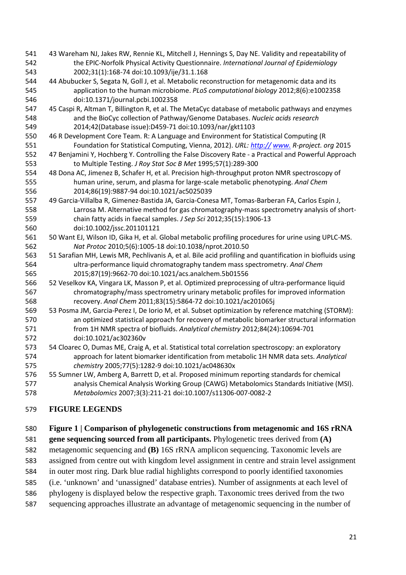- <span id="page-21-6"></span><span id="page-21-5"></span><span id="page-21-4"></span><span id="page-21-3"></span><span id="page-21-2"></span><span id="page-21-1"></span><span id="page-21-0"></span> 43 Wareham NJ, Jakes RW, Rennie KL, Mitchell J, Hennings S, Day NE. Validity and repeatability of the EPIC-Norfolk Physical Activity Questionnaire. *International Journal of Epidemiology* 2002;31(1):168-74 doi:10.1093/ije/31.1.168 44 Abubucker S, Segata N, Goll J, et al. Metabolic reconstruction for metagenomic data and its application to the human microbiome. *PLoS computational biology* 2012;8(6):e1002358 doi:10.1371/journal.pcbi.1002358 45 Caspi R, Altman T, Billington R, et al. The MetaCyc database of metabolic pathways and enzymes and the BioCyc collection of Pathway/Genome Databases. *Nucleic acids research* 2014;42(Database issue):D459-71 doi:10.1093/nar/gkt1103 46 R Development Core Team. R: A Language and Environment for Statistical Computing (R Foundation for Statistical Computing, Vienna, 2012). *URL[: http://](http://%E2%80%8B) [www.](http://www.%E2%80%8B) R-project. org* 2015 47 Benjamini Y, Hochberg Y. Controlling the False Discovery Rate - a Practical and Powerful Approach to Multiple Testing. *J Roy Stat Soc B Met* 1995;57(1):289-300 48 Dona AC, Jimenez B, Schafer H, et al. Precision high-throughput proton NMR spectroscopy of human urine, serum, and plasma for large-scale metabolic phenotyping. *Anal Chem* 2014;86(19):9887-94 doi:10.1021/ac5025039 49 Garcia-Villalba R, Gimenez-Bastida JA, Garcia-Conesa MT, Tomas-Barberan FA, Carlos Espin J, Larrosa M. Alternative method for gas chromatography-mass spectrometry analysis of short- chain fatty acids in faecal samples. *J Sep Sci* 2012;35(15):1906-13 doi:10.1002/jssc.201101121 50 Want EJ, Wilson ID, Gika H, et al. Global metabolic profiling procedures for urine using UPLC-MS. *Nat Protoc* 2010;5(6):1005-18 doi:10.1038/nprot.2010.50 51 Sarafian MH, Lewis MR, Pechlivanis A, et al. Bile acid profiling and quantification in biofluids using ultra-performance liquid chromatography tandem mass spectrometry. *Anal Chem* 2015;87(19):9662-70 doi:10.1021/acs.analchem.5b01556 52 Veselkov KA, Vingara LK, Masson P, et al. Optimized preprocessing of ultra-performance liquid chromatography/mass spectrometry urinary metabolic profiles for improved information recovery. *Anal Chem* 2011;83(15):5864-72 doi:10.1021/ac201065j 53 Posma JM, Garcia-Perez I, De Iorio M, et al. Subset optimization by reference matching (STORM): an optimized statistical approach for recovery of metabolic biomarker structural information from 1H NMR spectra of biofluids. *Analytical chemistry* 2012;84(24):10694-701 doi:10.1021/ac302360v 54 Cloarec O, Dumas ME, Craig A, et al. Statistical total correlation spectroscopy: an exploratory approach for latent biomarker identification from metabolic 1H NMR data sets. *Analytical chemistry* 2005;77(5):1282-9 doi:10.1021/ac048630x 55 Sumner LW, Amberg A, Barrett D, et al. Proposed minimum reporting standards for chemical analysis Chemical Analysis Working Group (CAWG) Metabolomics Standards Initiative (MSI).
- <span id="page-21-10"></span><span id="page-21-9"></span><span id="page-21-8"></span><span id="page-21-7"></span>*Metabolomics* 2007;3(3):211-21 doi:10.1007/s11306-007-0082-2

# **FIGURE LEGENDS**

## **Figure 1 | Comparison of phylogenetic constructions from metagenomic and 16S rRNA**

## **gene sequencing sourced from all participants.** Phylogenetic trees derived from **(A)**

metagenomic sequencing and **(B)** 16S rRNA amplicon sequencing. Taxonomic levels are

- assigned from centre out with kingdom level assignment in centre and strain level assignment
- in outer most ring. Dark blue radial highlights correspond to poorly identified taxonomies
- (i.e. 'unknown' and 'unassigned' database entries). Number of assignments at each level of
- phylogeny is displayed below the respective graph. Taxonomic trees derived from the two
- sequencing approaches illustrate an advantage of metagenomic sequencing in the number of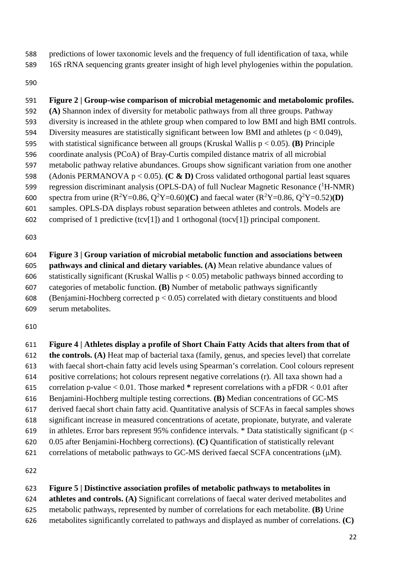predictions of lower taxonomic levels and the frequency of full identification of taxa, while

16S rRNA sequencing grants greater insight of high level phylogenies within the population.

# **Figure 2 | Group-wise comparison of microbial metagenomic and metabolomic profiles.**

**(A)** Shannon index of diversity for metabolic pathways from all three groups. Pathway

diversity is increased in the athlete group when compared to low BMI and high BMI controls.

594 Diversity measures are statistically significant between low BMI and athletes ( $p < 0.049$ ), with statistical significance between all groups (Kruskal Wallis p < 0.05). **(B)** Principle

- coordinate analysis (PCoA) of Bray-Curtis compiled distance matrix of all microbial
- metabolic pathway relative abundances. Groups show significant variation from one another

 (Adonis PERMANOVA p < 0.05). **(C & D)** Cross validated orthogonal partial least squares regression discriminant analysis (OPLS-DA) of full Nuclear Magnetic Resonance  $(^1H\text{-NMR})$ 

- 600 spectra from urine  $(R^2Y=0.86, Q^2Y=0.60)$ **C**) and faecal water  $(R^2Y=0.86, Q^2Y=0.52)$ **(D)**
- samples. OPLS-DA displays robust separation between athletes and controls. Models are
- comprised of 1 predictive (tcv[1]) and 1 orthogonal (tocv[1]) principal component.

 **Figure 3 | Group variation of microbial metabolic function and associations between pathways and clinical and dietary variables. (A)** Mean relative abundance values of 606 statistically significant (Kruskal Wallis  $p < 0.05$ ) metabolic pathways binned according to categories of metabolic function. **(B)** Number of metabolic pathways significantly 608 (Benjamini-Hochberg corrected  $p < 0.05$ ) correlated with dietary constituents and blood serum metabolites.

 **Figure 4 | Athletes display a profile of Short Chain Fatty Acids that alters from that of the controls. (A)** Heat map of bacterial taxa (family, genus, and species level) that correlate with faecal short-chain fatty acid levels using Spearman's correlation. Cool colours represent positive correlations; hot colours represent negative correlations (r). All taxa shown had a correlation p-value < 0.01. Those marked **\*** represent correlations with a pFDR < 0.01 after Benjamini-Hochberg multiple testing corrections. **(B)** Median concentrations of GC-MS derived faecal short chain fatty acid. Quantitative analysis of SCFAs in faecal samples shows significant increase in measured concentrations of acetate, propionate, butyrate, and valerate 619 in athletes. Error bars represent 95% confidence intervals. \* Data statistically significant ( $p <$  0.05 after Benjamini-Hochberg corrections). **(C)** Quantification of statistically relevant correlations of metabolic pathways to GC-MS derived faecal SCFA concentrations (μM).

# **Figure 5 | Distinctive association profiles of metabolic pathways to metabolites in**

**athletes and controls. (A)** Significant correlations of faecal water derived metabolites and

- metabolic pathways, represented by number of correlations for each metabolite. **(B)** Urine
- metabolites significantly correlated to pathways and displayed as number of correlations. **(C)**